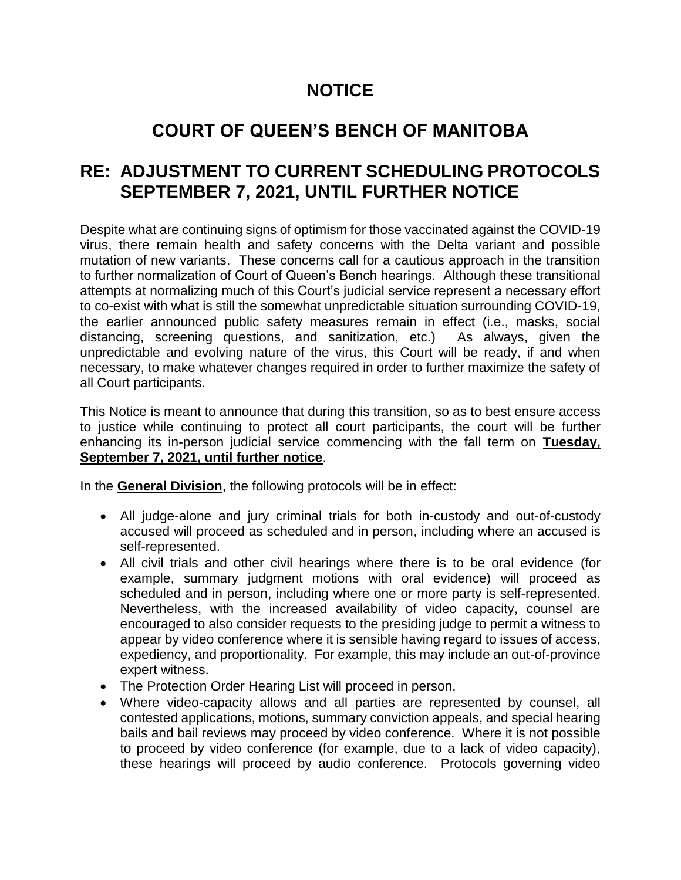## **NOTICE**

# **COURT OF QUEEN'S BENCH OF MANITOBA**

### **RE: ADJUSTMENT TO CURRENT SCHEDULING PROTOCOLS SEPTEMBER 7, 2021, UNTIL FURTHER NOTICE**

Despite what are continuing signs of optimism for those vaccinated against the COVID-19 virus, there remain health and safety concerns with the Delta variant and possible mutation of new variants. These concerns call for a cautious approach in the transition to further normalization of Court of Queen's Bench hearings. Although these transitional attempts at normalizing much of this Court's judicial service represent a necessary effort to co-exist with what is still the somewhat unpredictable situation surrounding COVID-19, the earlier announced public safety measures remain in effect (i.e., masks, social distancing, screening questions, and sanitization, etc.) As always, given the unpredictable and evolving nature of the virus, this Court will be ready, if and when necessary, to make whatever changes required in order to further maximize the safety of all Court participants.

This Notice is meant to announce that during this transition, so as to best ensure access to justice while continuing to protect all court participants, the court will be further enhancing its in-person judicial service commencing with the fall term on **Tuesday, September 7, 2021, until further notice**.

In the **General Division**, the following protocols will be in effect:

- All judge-alone and jury criminal trials for both in-custody and out-of-custody accused will proceed as scheduled and in person, including where an accused is self-represented.
- All civil trials and other civil hearings where there is to be oral evidence (for example, summary judgment motions with oral evidence) will proceed as scheduled and in person, including where one or more party is self-represented. Nevertheless, with the increased availability of video capacity, counsel are encouraged to also consider requests to the presiding judge to permit a witness to appear by video conference where it is sensible having regard to issues of access, expediency, and proportionality. For example, this may include an out-of-province expert witness.
- The Protection Order Hearing List will proceed in person.
- Where video-capacity allows and all parties are represented by counsel, all contested applications, motions, summary conviction appeals, and special hearing bails and bail reviews may proceed by video conference. Where it is not possible to proceed by video conference (for example, due to a lack of video capacity), these hearings will proceed by audio conference. Protocols governing video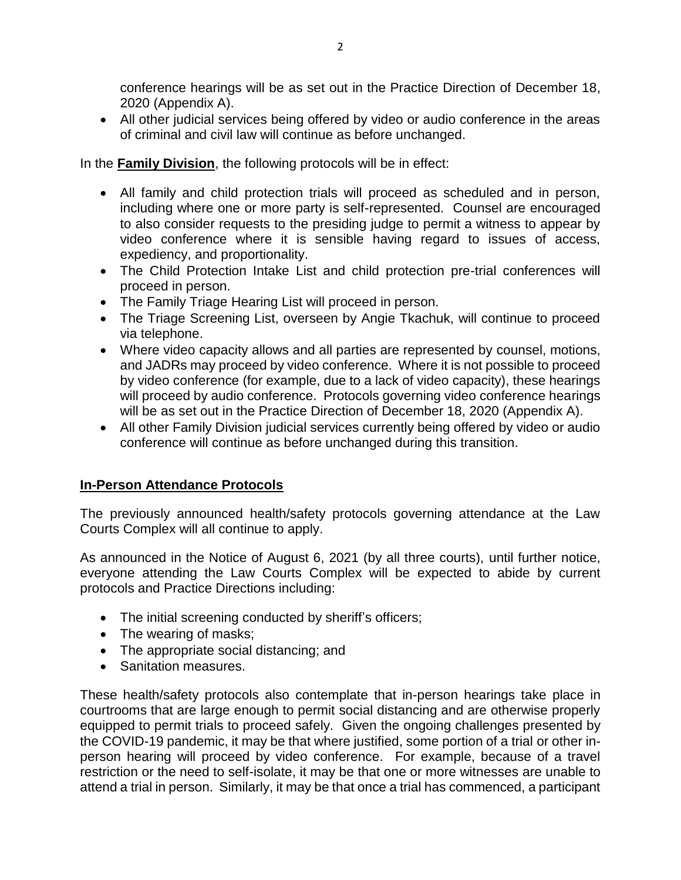conference hearings will be as set out in the Practice Direction of December 18, 2020 (Appendix A).

 All other judicial services being offered by video or audio conference in the areas of criminal and civil law will continue as before unchanged.

#### In the **Family Division**, the following protocols will be in effect:

- All family and child protection trials will proceed as scheduled and in person, including where one or more party is self-represented. Counsel are encouraged to also consider requests to the presiding judge to permit a witness to appear by video conference where it is sensible having regard to issues of access, expediency, and proportionality.
- The Child Protection Intake List and child protection pre-trial conferences will proceed in person.
- The Family Triage Hearing List will proceed in person.
- The Triage Screening List, overseen by Angie Tkachuk, will continue to proceed via telephone.
- Where video capacity allows and all parties are represented by counsel, motions, and JADRs may proceed by video conference. Where it is not possible to proceed by video conference (for example, due to a lack of video capacity), these hearings will proceed by audio conference. Protocols governing video conference hearings will be as set out in the Practice Direction of December 18, 2020 (Appendix A).
- All other Family Division judicial services currently being offered by video or audio conference will continue as before unchanged during this transition.

### **In-Person Attendance Protocols**

The previously announced health/safety protocols governing attendance at the Law Courts Complex will all continue to apply.

As announced in the Notice of August 6, 2021 (by all three courts), until further notice, everyone attending the Law Courts Complex will be expected to abide by current protocols and Practice Directions including:

- The initial screening conducted by sheriff's officers;
- The wearing of masks;
- The appropriate social distancing; and
- Sanitation measures.

These health/safety protocols also contemplate that in-person hearings take place in courtrooms that are large enough to permit social distancing and are otherwise properly equipped to permit trials to proceed safely. Given the ongoing challenges presented by the COVID-19 pandemic, it may be that where justified, some portion of a trial or other inperson hearing will proceed by video conference. For example, because of a travel restriction or the need to self-isolate, it may be that one or more witnesses are unable to attend a trial in person. Similarly, it may be that once a trial has commenced, a participant